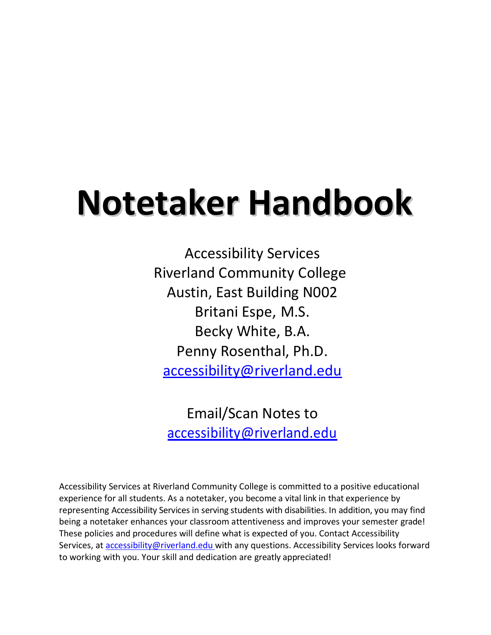# **Notetaker Handbook**

Accessibility Services Riverland Community College Austin, East Building N002 Britani Espe, M.S. [Becky White, B.A.](mailto:penny.rosenthal@riverland.edu) Penny Rosenthal, Ph.D. [accessibility@riverland.edu](mailto:accessibility@riverland.edu)

[Email/Scan Notes to](mailto:accessibility@riverland.edu) [accessibility@riverland.edu](mailto:accessibility@riverland.edu)

Accessibility Services at Riverland Community College is committed to a positive educational experience for all students. As a notetaker, you become a vital link in that experience by representing Accessibility Services in serving students with disabilities. In addition, you may find being a not[etaker enhances your classroom at](mailto:penny.rosenthal@riverland.edu)tentiveness and improves your semester grade! These policies and procedures will define what is expected of you. Contact Accessibility Services, at [accessibility@riverland.edu w](mailto:accessibility@riverland.edu)ith any questions. Accessibility Services looks forward to working with you. Your skill and dedication are greatly appreciated!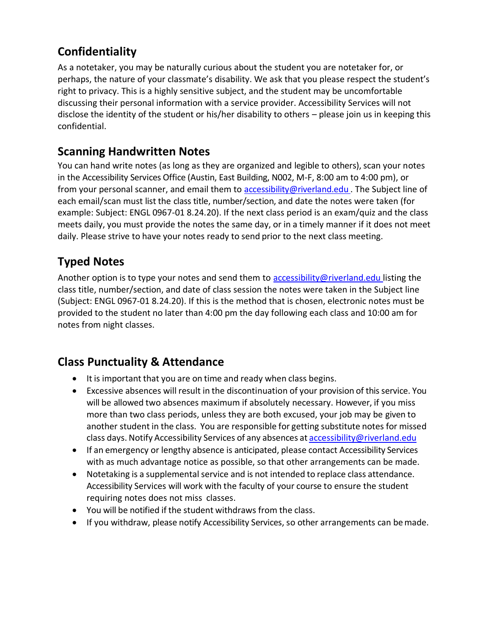## **Confidentiality**

As a notetaker, you may be naturally curious about the student you are notetaker for, or perhaps, the nature of your classmate's disability. We ask that you please respect the student's right to privacy. This is a highly sensitive subject, and the student may be uncomfortable discussing their personal information with a service provider. Accessibility Services will not disclose the identity of the student or his/her disability to others – please join us in keeping this confidential.

#### **Scanning Handwritten Notes**

You can hand write notes (as long as they are organized and legible to others), scan your notes in the Accessibility Services Office (Austin, East Building, N002, M-F, 8:00 am to 4:00 pm), or from your personal scanner, and email them to **accessibility@riverland.edu**. The Subject line of each email/scan must list the class title, number/section, and date the notes were taken (for example: Subject: ENGL 0967-01 8.24.20). If the next class period is an exam/quiz and the class meets daily, you must provide the notes the same day, or in a timely manner if it does not meet daily. Please strive to have your notes ready to send prior to the next class meeting.

# **Typed Notes**

Another option is to type your notes and send them to [accessibility@riverland.edu l](mailto:accessibility@riverland.edu)isting the class title, number/section, and date of class session the notes were taken in the Subject line (Subject: ENGL 0967-01 8.24.20). If this is the method that is chosen, electronic notes must be provided to the student no later than 4:00 pm the day following each class and 10:00 am for notes from night classes.

### **Class Punctuality & Attendance**

- It is important that you are on time and ready when class begins.
- Excessive absences will result in the discontinuation of your provision of this service. You will be allowed two absences maximum if absolutely necessary. However, if you miss more than two class periods, unless they are both excused, your job may be given to another student in the class. You are responsible for getting substitute notes for missed class days. Notify Accessibility Services of any absences at **[accessibility@riverland.edu](mailto:accessibility@riverland.edu)**
- If an [emergency](mailto:penny.rosenthal@riverland.edu) or lengthy absence is anticipated, please contact Accessibility Services with as much advantage notice as possible, so that other arrangements can be made.
- Notetaking is a supplemental service and is not intended to replace class attendance. Accessibility Services will work with the faculty of your course to ensure the student requiring notes does not miss classes.
- You will be notified if the student withdraws from the class.
- If you withdraw, please notify Accessibility Services, so other arrangements can bemade.